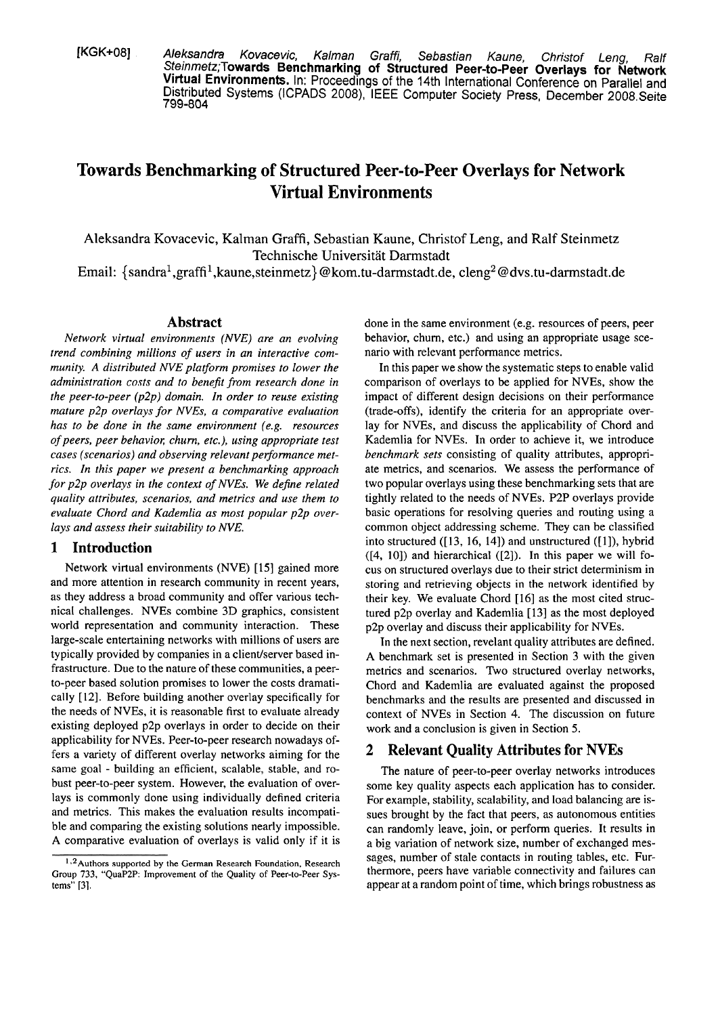[KGK+O8] **Aleksandra Kovacevic, Kalman** Graffi, **Sebastian Kaune,** Christof **Leng,** Ralf **Steinmetz;Towards Benchmarking of Structured Peer-to-Peer Overlays for Network Virtual Environments. In: Proceedings of the 14th International Conference on Parallel and Distributed Systems (ICPADS 2008), IEEE Computer Society Press, December 2008.Seite**  799-804

# **Towards Benchmarking of Structured Peer-to-Peer Overlays for Network Virtual Environments**

Aleksandra Kovacevic, Kalman Graffi, Sebastian Kaune, Christof Leng, and Ralf Steinmetz Technische Universität Darmstadt

Email:  $\{\text{sandra}^1,\text{graff}^1,\text{kaune},\text{steinmetz}\}$  @kom.tu-darmstadt.de, cleng<sup>2</sup> @dvs.tu-darmstadt.de

### **Abstract**

*Network virtual envimnments (NVE) are an evolving trend combining millions of users in an interactive community. A distributed NVE platform promises to lower the administration costs und to benejt from research done in the peer-to-peer (p2p) domain. In order to reuse existing mature p2p overlays for NVEs, a comparative evaluation has to be done in the same environment (e.g. resources of peers, Peer behavior; churn, etc.), using appropnate fest*  cases (scenarios) and observing relevant performance met*rics. In this paper we present a benchmarking approach for p2p overlays in the context of NVEs. We dejne related quality attributes, scenarios, and metrics und use them to evaluate Chord und Kademlia as most popular p2p over*lays and assess their suitability to NVE.

## **1 Introduction**

Network virtual environments (NVE) [15] gained more and more attention in research community in recent years, as they address a broad community and offer various technical challenges. NVEs combine 3D graphics, consistent world representation and community interaction. These large-scale entertaining networks with millions of users are typically provided by companies in a client/server based infrastructure. Due to the nature of these communities, a peerto-peer based solution promises to lower the costs dramatically [12]. Before building another overlay specifically for the needs of NVEs, it is reasonable first to evaluate already existing deployed p2p overlays in order to decide on their applicability for NVEs. Peer-to-peer research nowadays offers a variety of different overlay networks aiming for the Same goal - building an efficient, scalable, stable, and robust peer-to-peer System. However, the evaluation of overlays is commonly done using individually defined criteria and metrics. This makes the evaluation results incompatible and comparing the existing solutions nearly impossible. A comparative evaluation of overlays is valid only if it is done in the Same environment (e.g. resources of peers, peer behavior, churn, etc.) and using an appropriate usage scenario with relevant performance metrics.

In this paper we show the systematic steps to enable valid comparison of overlays to be applied for NVEs, show the impact of different design decisions on their performance (trade-offs), identify the criteria for an appropriate overlay for NVEs, and discuss the applicability of Chord and Kademlia for NVEs. In order to achieve it, we introduce *benchmark sets* consisting of quality attributes, appropriate metrics, and scenarios. We assess the performance of two popular overlays using these benchmarking sets that are tightly related to the needs of NVEs. P2P overlays provide basic operations for resolving queries and routing using a common object addressing scheme. They can be classified into structured  $(13, 16, 14)$  and unstructured  $(11)$ , hybrid  $([4, 10])$  and hierarchical  $([2])$ . In this paper we will focus on structured overlays due to their strict determinism in storing and retrieving objects in the network identified by their key. We evaluate Chord [16] as the most cited structured p2p overlay and Kademlia [13] as the most deployed p2p overlay and discuss their applicability for NVEs.

In the next section, revelant quality attributes are defined. A benchmark set is presented in Section 3 with the given metrics and scenarios. Two structured overlay networks, Chord and Kademlia are evaluated against the proposed benchmarks and the results are presented and discussed in context of NVEs in Section 4. The discussion on future work and a conclusion is given in Section 5.

# **2 Relevant Quality Attributes for NVEs**

The nature of peer-to-peer overlay networks introduces some key quality aspects each application has to consider. For example, stability, scalability, and load balancing are issues brought by the fact that peers, as autonomous entities can randomly leave, join, or perform queries. It results in a big variation of network size, number of exchanged mes- <sup>1,2</sup>Authors supported by the German Research Foundation, Research sages, number of stale contacts in routing tables, etc. Fur-Group 733, "QuaP2P: Improvement of the Quality of Peer-to-Peer Sys-<br>tems" [3]. **Additionally of Peer-to-Peer Sys- thermore**, peers have variable connectivity and failures can<br>appear at a random point of time, which bring **tems" 131.** appearat a random point of time, which brings robustness **as**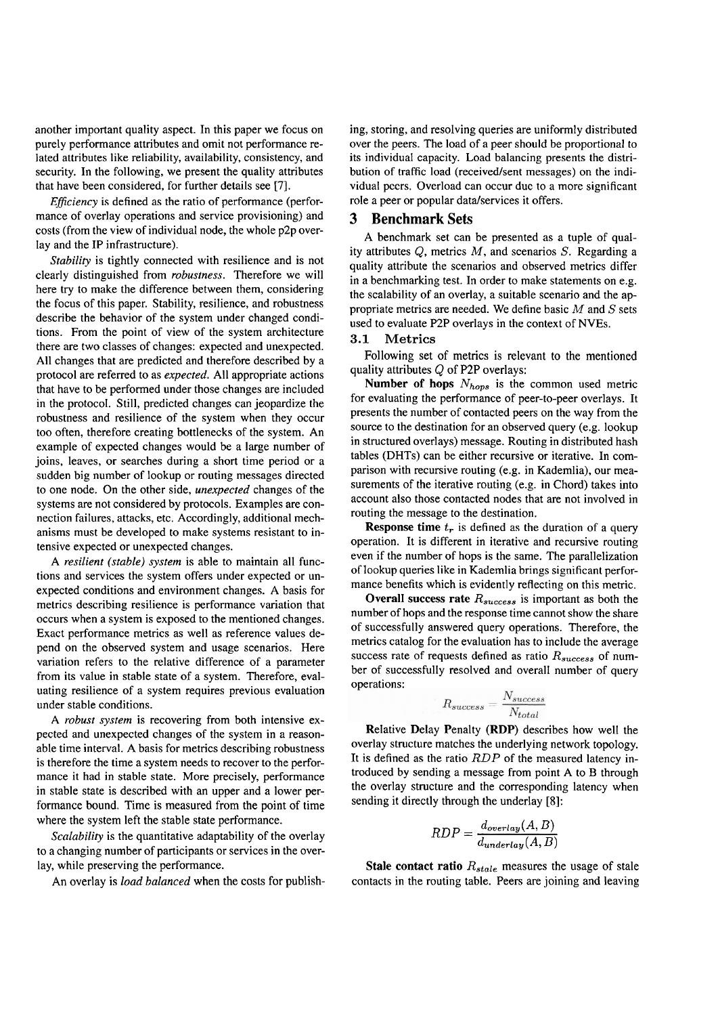another important quality aspect. In this paper we focus on purely performance attributes and omit not performance related attributes like reliability, availability, consistency, and security. In the following, we present the quality attributes that have been considered, for further details see [7].

*Eficiency* is defined as the ratio of performance (performance of overlay operations and service provisioning) and costs (from the view of individual node, the whole p2p overlay and the IP infrastructure).

*Stability* is tightly connected with resilience and is not clearly distinguished from *robustness.* Therefore we will here try to make the difference between them, considering the focus of this paper. Stability, resilience, and robustness describe the behavior of the system under changed conditions. From the point of view of the system architecture there are two classes of changes: expected and unexpected. All changes that are predicted and therefore described by a protocol are referred to as *expected.* All appropriate actions that have to be performed under those changes are included in the protocol. Still, predicted changes can jeopardize the robustness and resilience of the system when they occur too often, therefore creating bottlenecks of the system. An example of expected changes would be a large number of joins, leaves, or searches during a short time period or a sudden big number of lookup or routing messages directed to one node. On the other side, *unexpected* changes of the systems are not considered by protocols. Examples are connection failures, attacks, etc. Accordingly, additional mechanisms must be developed to make systems resistant to intensive expected or unexpected changes.

*A resilient (stable) system* is able to maintain all functions and services the system offers under expected or unexpected conditions and environment changes. A basis for metrics describing resilience is performance variation that occurs when a system is exposed to the mentioned changes. Exact performance metrics as well as reference values depend on the observed system and usage scenarios. Here variation refers to the relative difference of a parameter from its value in stable state of a system. Therefore, evaluating resilience of a system requires previous evaluation under stable conditions.

A *robust system* is recovering from both intensive expected and unexpected changes of the system in a reasonable time interval. A basis for metrics describing robustness is therefore the time a system needs to recover to the performance it had in stable state. More precisely, performance in stable state is described with an upper and a lower performance bound. Time is measured from the point of time where the system left the stable state performance.

*Scalabiliry* is the quantitative adaptability of the overlay to a changing number of participants or services in the overlay, while preserving the performance.

An overlay is *load balanced* when the costs for publish-

ing, storing, and resolving queries are uniformly distributed over the peers. The load of a peer should be proportional to its individual capacity. Load balancing presents the distribution of traffic load (received/sent messages) on the individual pccrs. Overload can occur due to a more significant role a peer or popular datalservices it offers.

#### **3 Benchmark Sets**

A benchmark set can be presented as a tuple of quality attributes  $Q$ , metrics  $M$ , and scenarios  $S$ . Regarding a quality attribute the scenarios and observed metrics differ in a benchmarking test. In order to make statements on e.g. the scalability of an overlay, a suitable scenario and the appropriate metrics are needed. We define basic  $M$  and  $S$  sets used to evaluate P2P overlays in the context of NVEs.

#### 3.1 **Metrics**

Following set of metrics is relevant to the mentioned quality attributes Q of P2P overlays:

**Number of hops**  $N_{hops}$  is the common used metric for evaluating the performance of peer-to-peer overlays. It presents the number of contacted peers on the way from the source to the destination for an observed query (e.g. lookup in structured overlays) message. Routing in distributed hash tables (DHTs) can be either recursive or iterative. In comparison with recursive routing (e.g. in Kademlia), our measurements of the iterative routing (e.g. in Chord) takes into account also those contacted nodes that are not involved in routing the message to the destination.

**Response time**  $t_r$  is defined as the duration of a query operation. It is different in iterative and recursive routing even if the number of hops is the Same. The parallelization of lookup queries like in Kademlia brings significant performance benefits which is evidently reflecting on this metric.

**Overall success rate** *Rsucces,* is important as both the number of hops and the response time cannot show the share of successfully answered query operations. Therefore, the metrics catalog for the evaluation has to include the average success rate of requests defined as ratio  $R_{success}$  of number of successfully resolved and overall number of query operations:

$$
R_{success} = \frac{N_{success}}{N_{total}}
$$

Relative Delay Penalty (RDP) describes how well the overlay structure matches the underlying network topology. It is defined as the ratio *RDP* of the measured latency introduced by sending a message from point A to B through the overlay structure and the corresponding latency when sending it directly through the underlay **[8]:** 

$$
RDP = \frac{d_{overlap}(A, B)}{d_{underlay}(A, B)}
$$

**Stale contact ratio**  $R_{stable}$  measures the usage of stale contacts in the routing table. Peers are joining and leaving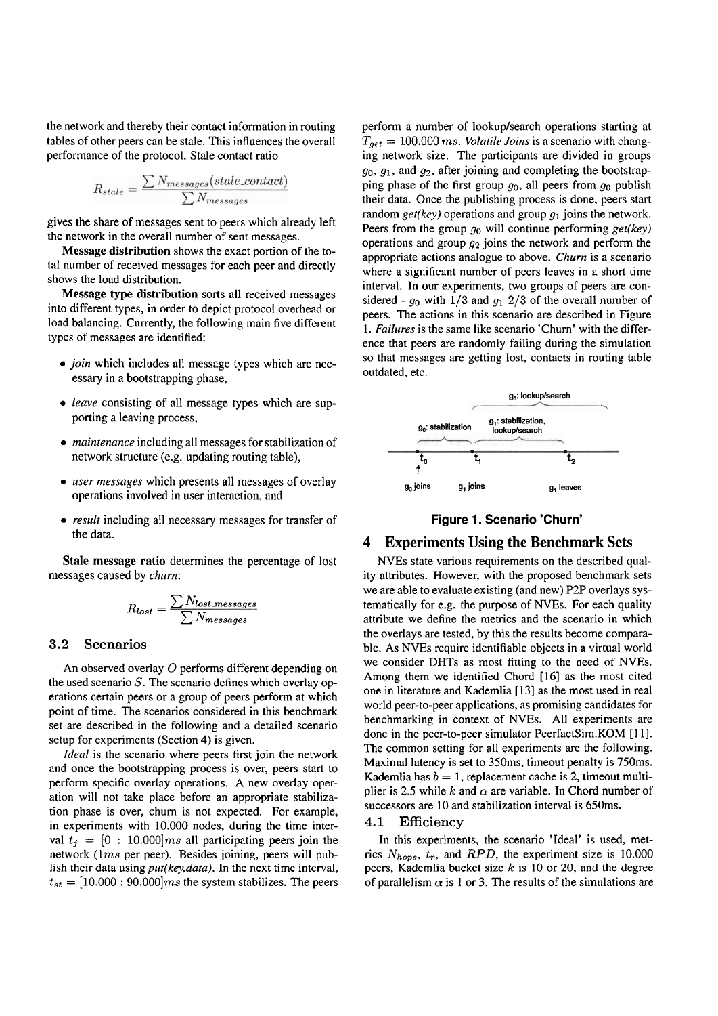the network and thereby their contact information in routing tables of other peers can be stale. This influences the overall performance of the protocol. Stale contact ratio

$$
R_{state} = \frac{\sum N_{messages}(state\_contact)}{\sum N_{messages}}
$$

gives the share of messages sent to peers which already left the network in the overall number of sent messages.

**Message distribution** shows the exact portion of the total number of received messages for each peer and directly shows the load distribution.

**Message type distribution** sorts all received messages into different types, in order to depict protocol overhead or load balancing. Currently, the following main five different types of messages are identified:

- *join* which includes all message types which are necessary in a bootstrapping phase,
- *leave* consisting of all message types which are supporting a leaving process,
- *maintenance* including all messages for stabilization of network structure (e.g. updating routing table),
- *user messages* which presents all messages of overlay operations involved in user interaction, and
- *result* including all necessary messages for transfer of the data.

**Stale message ratio** determines the percentage of lost messages caused by *churn:* 

$$
R_{lost} = \frac{\sum N_{lost\{{\rm messages}}}}{\sum N_{\rm messages}}
$$

#### 3.2 Scenarios

An observed overlay 0 performs different depending on the used scenario  $S$ . The scenario defines which overlay operations certain peers or a group of peers perform at which point of time. The scenarios considered in this benchmark set are described in the following and a detailed scenario setup for experiments (Section 4) is given.

*Ideal* is the scenario where peers first join the network and once the bootstrapping process is over, peers start to perform specific overlay operations. A new overlay operation will not take place before an appropriate stabilization phase is over, chum is not expected. For example, in experiments with 10.000 nodes, during the time interval  $t_j = [0 : 10.000]$  *ms* all participating peers join the network (lms per peer). Besides joining, peers will publish their data using *put(key,data).* In the next time interval,  $t_{st} = [10.000 : 90.000]$  *ms* the system stabilizes. The peers

perform a number of lookup/search operations starting at *Tget* = 100.000 ms. *Volatile Joins* is a scenario with changing network size. The participants are divided in groups **90, 91,** and **g2,** after joining and completing the bootstrapping phase of the first group **go,** all peers from **go** publish their data. Once the publishing process is done, peers start random  $get(key)$  operations and group  $g_1$  joins the network. Peers from the group **go** will continue performing *get(key)*  operations and group  $g_2$  joins the network and perform the appropriate actions analogue to above. *Churn* is a scenario where a significant number of peers leaves in a short time interval. In our experiments, two groups of peers are considered -  $g_0$  with  $1/3$  and  $g_1$  2/3 of the overall number of peers. The actions in this scenario are described in Figure 1. *Failures* is the same like scenario 'Chum' with the difference that peers are randomly failing during the simulation so that messages are getting lost, contacts in routing table outdated, etc.





#### **4 Experiments Using the Benchmark Sets**

NVEs state various requirements on the described quality attributes. However, with the proposed benchmark sets we are able to evaluate existing (and new) P2P overlays systematically for e.g. the purpose of NVEs. For each quality attribute we define the metrics and the scenario in which the overlays are tested, by this the results become comparable. As NVEs require identifiable objects in a virtual world we consider DHTs as most fitting to the need of NVEs. Among them we identified Chord [16] as the most cited one in literature and Kademlia [13] as the most used in real world peer-to-peer applications, as promising candidates for benchmarking in context of NVEs. All experiments are done in the peer-to-peer simulator PeerfactSim.KOM [l I]. The common setting for all experiments are the following. Maximal latency is set to 350ms, timeout penalty is 750ms. Kademlia has  $b = 1$ , replacement cache is 2, timeout multiplier is 2.5 while  $k$  and  $\alpha$  are variable. In Chord number of successors are 10 and stabilization interval is 650ms.

## 4.1 Efficiency

In this experiments, the scenario 'Ideal' is used, metrics  $N_{hops}$ ,  $t_r$ , and RPD, the experiment size is 10.000 peers, Kademlia bucket size  $k$  is 10 or 20, and the degree of parallelism  $\alpha$  is 1 or 3. The results of the simulations are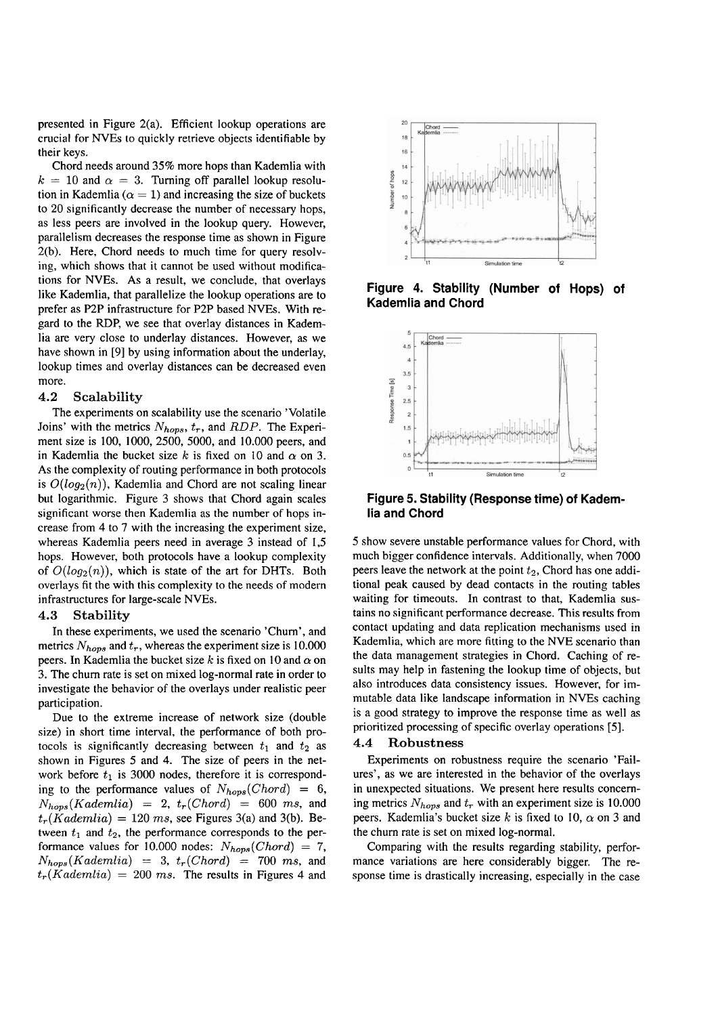presented in Figure 2(a). Efficient lookup operations are crucial for NVEs to quickly retrieve objects identifiable by their keys.

Chord needs around 35% more hops than Kademlia with  $k = 10$  and  $\alpha = 3$ . Turning off parallel lookup resolution in Kademlia ( $\alpha = 1$ ) and increasing the size of buckets to 20 significantly decrease the number of necessary hops, as less peers are involved in the lookup query. However, parallelism decreases the response time as shown in Figure 2(b). Here, Chord needs to much time for query resolving, which shows that it cannot be used without modifications for NVEs. As a result, we conclude, that overlays Iike Kademlia, that parallelize the lookup operations are to prefer as **P2P** infrastructure for P2P based NVEs. With regard to the RDP, we see that overlay distances in Kademlia are very close to underlay distances. However, as we have shown in [9] by using information about the underlay, lookup times and overlay distances can be decreased even more.

#### 4.2 **Scalability**

The experiments on scalability use the scenario 'Volatile Joins' with the metrics  $N_{hops}$ ,  $t_r$ , and *RDP*. The Experiment size is 100, 1000, 2500, 5000, and 10.000 peers, and in Kademlia the bucket size k is fixed on 10 and  $\alpha$  on 3. As the complexity of routing performance in both protocols is  $O(log_2(n))$ , Kademlia and Chord are not scaling linear but logarithmic. Figure 3 shows that Chord again scales significant worse then Kademlia as the number of hops increase from 4 to 7 with the increasing the experiment size, whereas Kademlia peers need in average 3 instead of 1,5 hops. However, both protocols have a lookup complexity of  $O(log_2(n))$ , which is state of the art for DHTs. Both overlays fit the with this complexity to the needs of modern infrastmctures for large-scale NVEs.

#### 4.3 **Stability**

In these experiments, we used the scenario 'Chum', and metrics  $N_{hops}$  and  $t_r$ , whereas the experiment size is 10.000 peers. In Kademlia the bucket size k is fixed on 10 and  $\alpha$  on 3. The chum rate is set on mixed log-normal rate in order to investigate the behavior of the overlays under realistic peer participation.

Due to the extreme increase of network size (double size) in short time interval, the performance of both protocols is significantly decreasing between  $t_1$  and  $t_2$  as shown in Figures 5 and 4. The size of peers in the network before  $t_1$  is 3000 nodes, therefore it is corresponding to the performance values of  $N_{hops}(Chord) = 6$ ,  $N_{hops}(Kademlia) = 2, t_r(Chord) = 600 ms, and$  $t_r(Kademia) = 120$  ms, see Figures 3(a) and 3(b). Between  $t_1$  and  $t_2$ , the performance corresponds to the performance values for 10.000 nodes:  $N_{hops}(Chord) = 7$ ,  $N_{hops}(Kademlia) = 3$ ,  $t_r(Chord) = 700$  ms, and  $t_r(Kademlia) = 200$  ms. The results in Figures 4 and



**Figure 4. Stability (Number of Hops) of Kademlia and Chord** 



**Figure 5. Stability (Response time) of Kademlia and Chord** 

5 show severe unstable performance values for Chord, with much bigger confidence intervals. Additionally, when 7000 peers leave the network at the point *t2,* Chord has one additional peak caused by dead contacts in the routing tables waiting for timeouts. In contrast to that, Kademlia sustains no significant performance decrease. This results from contact updating and data replication mechanisms used in Kademlia, which are more fitting to the NVE scenario than the data management strategies in Chord. Caching of results may help in fastening the lookup time of objects, but also introduces data consistency issues. However, for immutable data like landscape information in NVEs caching is a good strategy to improve the response time as well as prioritized processing of specific overlay operations **[5].** 

#### 4.4 **Robustness**

Experiments on robustness require the scenario 'Failures', as we are interested in the behavior of the overlays in unexpected situations. We present here results conceming metrics  $N_{hops}$  and  $t_r$  with an experiment size is 10.000 peers. Kademlia's bucket size k is fixed to 10,  $\alpha$  on 3 and the churn rate is set on mixed log-normal.

Comparing with the results regarding stability, performance variations are here considerably bigger. The response time is drastically increasing, especially in the case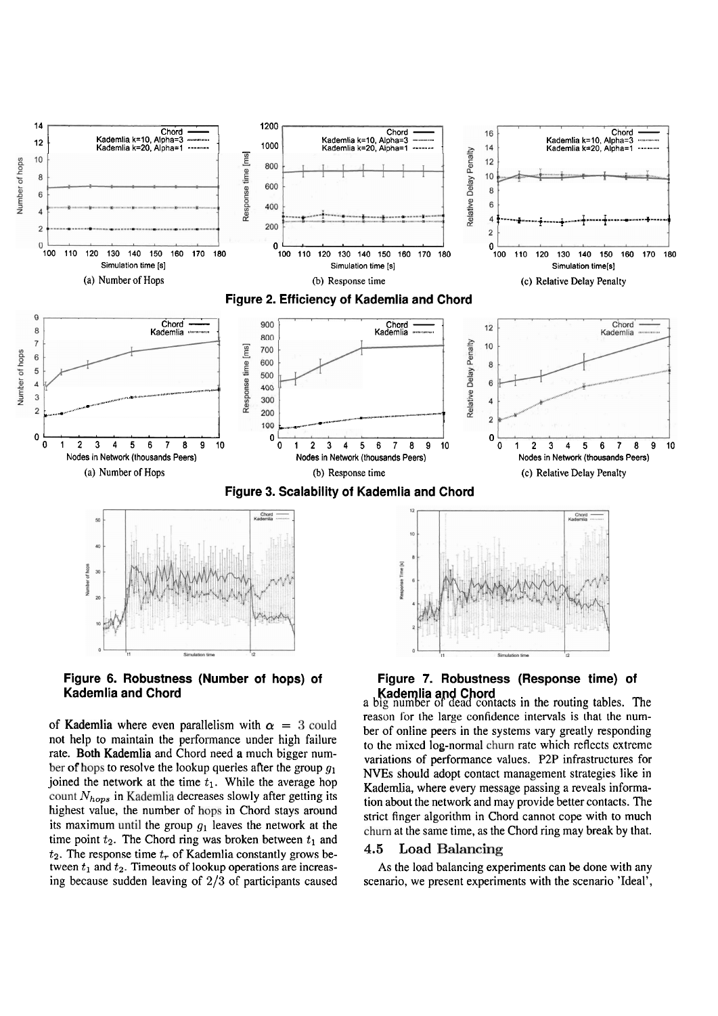

Figure 6. Robustness (Number of hops) of **Kademlia and Chord** 

of Kademlia where even parallelism with  $\alpha = 3$  could not help to maintain the performance under high failure rate. Both Kademlia and Chord need a much bigger number of hops to resolve the lookup queries after the group  $g_1$ joined the network at the time  $t_1$ . While the average hop count  $N_{hops}$  in Kademlia decreases slowly after getting its highest value, the number of hops in Chord stays around its maximum until the group  $g_1$  leaves the network at the time point  $t_2$ . The Chord ring was broken between  $t_1$  and  $t_2$ . The response time  $t_r$  of Kademlia constantly grows between  $t_1$  and  $t_2$ . Timeouts of lookup operations are increasing because sudden leaving of  $2/3$  of participants caused

# Figure 7. Robustness (Response time) of Kademlia and Chord<br>a big number of dead contacts in the routing tables. The

reason for the large confidence intervals is that the number of online peers in the systems vary greatly responding to the mixed log-normal churn rate which reflects extreme variations of performance values. P2P infrastructures for NVEs should adopt contact management strategies like in Kademlia, where every message passing a reveals information about the network and may provide better contacts. The strict finger algorithm in Chord cannot cope with to much churn at the same time, as the Chord ring may break by that.

#### **Load Balancing**  $4.5$

As the load balancing experiments can be done with any scenario, we present experiments with the scenario 'Ideal',